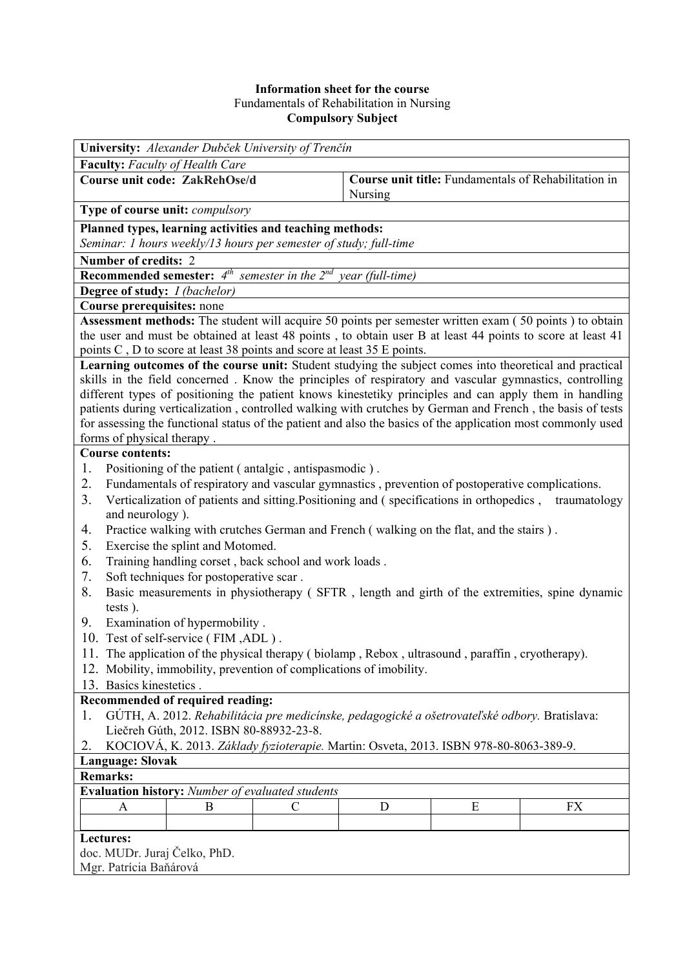## **Information sheet for the course** Fundamentals of Rehabilitation in Nursing **Compulsory Subject**

| University: Alexander Dubček University of Trenčín                                                                                                                                                                                                                                                                                                                                                                                                                           |                                                                 |
|------------------------------------------------------------------------------------------------------------------------------------------------------------------------------------------------------------------------------------------------------------------------------------------------------------------------------------------------------------------------------------------------------------------------------------------------------------------------------|-----------------------------------------------------------------|
| <b>Faculty:</b> Faculty of Health Care                                                                                                                                                                                                                                                                                                                                                                                                                                       |                                                                 |
| <b>Course unit code: ZakRehOse/d</b>                                                                                                                                                                                                                                                                                                                                                                                                                                         | Course unit title: Fundamentals of Rehabilitation in<br>Nursing |
| Type of course unit: compulsory                                                                                                                                                                                                                                                                                                                                                                                                                                              |                                                                 |
| Planned types, learning activities and teaching methods:                                                                                                                                                                                                                                                                                                                                                                                                                     |                                                                 |
| Seminar: 1 hours weekly/13 hours per semester of study; full-time                                                                                                                                                                                                                                                                                                                                                                                                            |                                                                 |
| Number of credits: 2                                                                                                                                                                                                                                                                                                                                                                                                                                                         |                                                                 |
| <b>Recommended semester:</b> $4^{th}$ semester in the $2^{nd}$ year (full-time)                                                                                                                                                                                                                                                                                                                                                                                              |                                                                 |
| Degree of study: <i>I (bachelor)</i>                                                                                                                                                                                                                                                                                                                                                                                                                                         |                                                                 |
| Course prerequisites: none                                                                                                                                                                                                                                                                                                                                                                                                                                                   |                                                                 |
| Assessment methods: The student will acquire 50 points per semester written exam (50 points) to obtain                                                                                                                                                                                                                                                                                                                                                                       |                                                                 |
| the user and must be obtained at least 48 points, to obtain user B at least 44 points to score at least 41                                                                                                                                                                                                                                                                                                                                                                   |                                                                 |
| points C, D to score at least 38 points and score at least 35 E points.<br>Learning outcomes of the course unit: Student studying the subject comes into theoretical and practical                                                                                                                                                                                                                                                                                           |                                                                 |
| skills in the field concerned. Know the principles of respiratory and vascular gymnastics, controlling<br>different types of positioning the patient knows kinestetiky principles and can apply them in handling<br>patients during verticalization, controlled walking with crutches by German and French, the basis of tests<br>for assessing the functional status of the patient and also the basics of the application most commonly used<br>forms of physical therapy. |                                                                 |
| <b>Course contents:</b>                                                                                                                                                                                                                                                                                                                                                                                                                                                      |                                                                 |
| 1.<br>Positioning of the patient (antalgic, antispasmodic).                                                                                                                                                                                                                                                                                                                                                                                                                  |                                                                 |
| 2.<br>Fundamentals of respiratory and vascular gymnastics, prevention of postoperative complications.                                                                                                                                                                                                                                                                                                                                                                        |                                                                 |
| 3.<br>Verticalization of patients and sitting. Positioning and (specifications in orthopedics,<br>traumatology                                                                                                                                                                                                                                                                                                                                                               |                                                                 |
| and neurology).                                                                                                                                                                                                                                                                                                                                                                                                                                                              |                                                                 |
| 4.<br>Practice walking with crutches German and French (walking on the flat, and the stairs).                                                                                                                                                                                                                                                                                                                                                                                |                                                                 |
| 5.<br>Exercise the splint and Motomed.                                                                                                                                                                                                                                                                                                                                                                                                                                       |                                                                 |
| 6.<br>Training handling corset, back school and work loads.                                                                                                                                                                                                                                                                                                                                                                                                                  |                                                                 |
| 7.<br>Soft techniques for postoperative scar.                                                                                                                                                                                                                                                                                                                                                                                                                                |                                                                 |
| 8.<br>Basic measurements in physiotherapy (SFTR, length and girth of the extremities, spine dynamic                                                                                                                                                                                                                                                                                                                                                                          |                                                                 |
| tests).                                                                                                                                                                                                                                                                                                                                                                                                                                                                      |                                                                 |
| Examination of hypermobility.<br>9.                                                                                                                                                                                                                                                                                                                                                                                                                                          |                                                                 |
| 10. Test of self-service (FIM, ADL).                                                                                                                                                                                                                                                                                                                                                                                                                                         |                                                                 |
| 11. The application of the physical therapy (biolamp, Rebox, ultrasound, paraffin, cryotherapy).                                                                                                                                                                                                                                                                                                                                                                             |                                                                 |
| 12. Mobility, immobility, prevention of complications of imobility.                                                                                                                                                                                                                                                                                                                                                                                                          |                                                                 |
| 13. Basics kinestetics.                                                                                                                                                                                                                                                                                                                                                                                                                                                      |                                                                 |
| Recommended of required reading:                                                                                                                                                                                                                                                                                                                                                                                                                                             |                                                                 |
| GÚTH, A. 2012. Rehabilitácia pre medicínske, pedagogické a ošetrovateľské odbory. Bratislava:<br>1.<br>Liečreh Gúth, 2012. ISBN 80-88932-23-8.                                                                                                                                                                                                                                                                                                                               |                                                                 |
| KOCIOVÁ, K. 2013. Základy fyzioterapie. Martin: Osveta, 2013. ISBN 978-80-8063-389-9.<br>2.                                                                                                                                                                                                                                                                                                                                                                                  |                                                                 |
| <b>Language: Slovak</b>                                                                                                                                                                                                                                                                                                                                                                                                                                                      |                                                                 |
| <b>Remarks:</b>                                                                                                                                                                                                                                                                                                                                                                                                                                                              |                                                                 |
| <b>Evaluation history:</b> Number of evaluated students                                                                                                                                                                                                                                                                                                                                                                                                                      |                                                                 |
| B<br>C<br>A                                                                                                                                                                                                                                                                                                                                                                                                                                                                  | Ε<br>FX<br>D                                                    |
|                                                                                                                                                                                                                                                                                                                                                                                                                                                                              |                                                                 |
| Lectures:                                                                                                                                                                                                                                                                                                                                                                                                                                                                    |                                                                 |
| doc. MUDr. Juraj Čelko, PhD.                                                                                                                                                                                                                                                                                                                                                                                                                                                 |                                                                 |
| Mgr. Patrícia Baňárová                                                                                                                                                                                                                                                                                                                                                                                                                                                       |                                                                 |
|                                                                                                                                                                                                                                                                                                                                                                                                                                                                              |                                                                 |